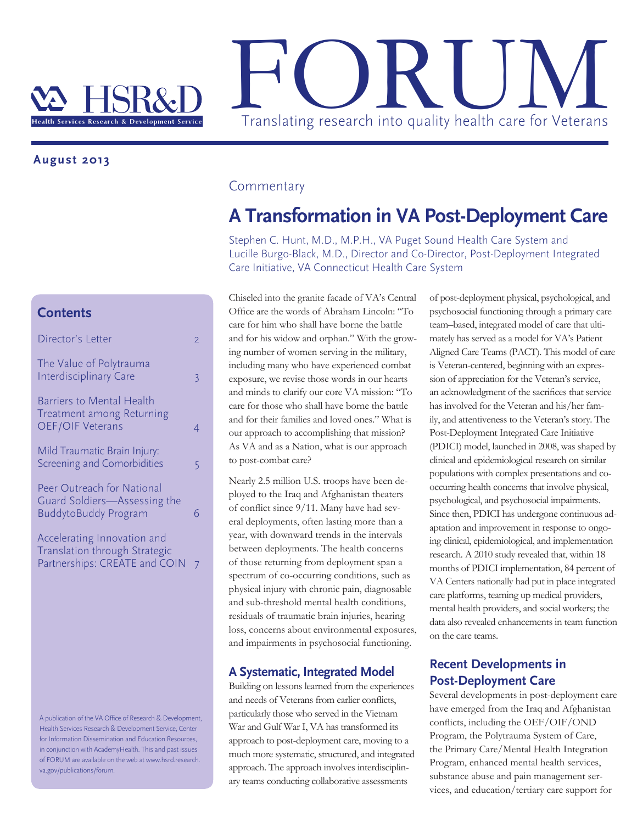

## **August 2013**

# **Contents**

| Director's Letter                                                                               | 2 |
|-------------------------------------------------------------------------------------------------|---|
| The Value of Polytrauma<br><b>Interdisciplinary Care</b>                                        | 3 |
| <b>Barriers to Mental Health</b><br><b>Treatment among Returning</b><br><b>OEF/OIF Veterans</b> | 4 |
| Mild Traumatic Brain Injury:<br>Screening and Comorbidities                                     | 5 |
| Peer Outreach for National<br>Guard Soldiers-Assessing the<br><b>BuddytoBuddy Program</b>       | հ |
| Accelerating Innovation and<br>Translation through Strategic<br>Partnerships: CREATE and COIN   | 7 |

A publication of the VA Office of Research & Development, Health Services Research & Development Service, Center for Information Dissemination and Education Resources, in conjunction with AcademyHealth. This and past issues of FORUM are available on the web at www.hsrd.research. va.gov/publications/forum.

### **Commentary**

# **A Transformation in VA Post-Deployment Care**

Stephen C. Hunt, M.D., M.P.H., VA Puget Sound Health Care System and Lucille Burgo-Black, M.D., Director and Co-Director, Post-Deployment Integrated Care Initiative, VA Connecticut Health Care System

Chiseled into the granite facade of VA's Central Office are the words of Abraham Lincoln: "To care for him who shall have borne the battle and for his widow and orphan." With the growing number of women serving in the military, including many who have experienced combat exposure, we revise those words in our hearts and minds to clarify our core VA mission: "To care for those who shall have borne the battle and for their families and loved ones." What is our approach to accomplishing that mission? As VA and as a Nation, what is our approach to post-combat care?

Nearly 2.5 million U.S. troops have been deployed to the Iraq and Afghanistan theaters of conflict since 9/11. Many have had several deployments, often lasting more than a year, with downward trends in the intervals between deployments. The health concerns of those returning from deployment span a spectrum of co-occurring conditions, such as physical injury with chronic pain, diagnosable and sub-threshold mental health conditions, residuals of traumatic brain injuries, hearing loss, concerns about environmental exposures, and impairments in psychosocial functioning.

### **A Systematic, Integrated Model**

Building on lessons learned from the experiences and needs of Veterans from earlier conflicts, particularly those who served in the Vietnam War and Gulf War I, VA has transformed its approach to post-deployment care, moving to a much more systematic, structured, and integrated approach. The approach involves interdisciplinary teams conducting collaborative assessments

of post-deployment physical, psychological, and psychosocial functioning through a primary care team–based, integrated model of care that ultimately has served as a model for VA's Patient Aligned Care Teams (PACT). This model of care is Veteran-centered, beginning with an expression of appreciation for the Veteran's service, an acknowledgment of the sacrifices that service has involved for the Veteran and his/her family, and attentiveness to the Veteran's story. The Post-Deployment Integrated Care Initiative (PDICI) model, launched in 2008, was shaped by clinical and epidemiological research on similar populations with complex presentations and cooccurring health concerns that involve physical, psychological, and psychosocial impairments. Since then, PDICI has undergone continuous adaptation and improvement in response to ongoing clinical, epidemiological, and implementation research. A 2010 study revealed that, within 18 months of PDICI implementation, 84 percent of VA Centers nationally had put in place integrated care platforms, teaming up medical providers, mental health providers, and social workers; the data also revealed enhancements in team function on the care teams.

## **Recent Developments in Post-Deployment Care**

Several developments in post-deployment care have emerged from the Iraq and Afghanistan conflicts, including the OEF/OIF/OND Program, the Polytrauma System of Care, the Primary Care/Mental Health Integration Program, enhanced mental health services, substance abuse and pain management services, and education/tertiary care support for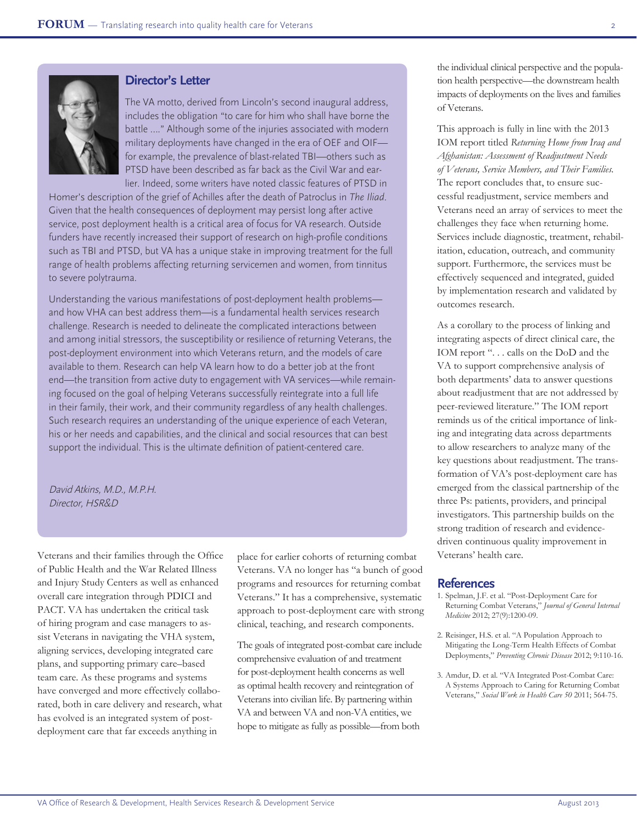

### **Director's Letter**

The VA motto, derived from Lincoln's second inaugural address, includes the obligation "to care for him who shall have borne the battle …." Although some of the injuries associated with modern military deployments have changed in the era of OEF and OIF for example, the prevalence of blast-related TBI—others such as PTSD have been described as far back as the Civil War and earlier. Indeed, some writers have noted classic features of PTSD in

Homer's description of the grief of Achilles after the death of Patroclus in *The Iliad*. Given that the health consequences of deployment may persist long after active service, post deployment health is a critical area of focus for VA research. Outside funders have recently increased their support of research on high-profile conditions such as TBI and PTSD, but VA has a unique stake in improving treatment for the full range of health problems affecting returning servicemen and women, from tinnitus to severe polytrauma.

Understanding the various manifestations of post-deployment health problems and how VHA can best address them—is a fundamental health services research challenge. Research is needed to delineate the complicated interactions between and among initial stressors, the susceptibility or resilience of returning Veterans, the post-deployment environment into which Veterans return, and the models of care available to them. Research can help VA learn how to do a better job at the front end—the transition from active duty to engagement with VA services—while remaining focused on the goal of helping Veterans successfully reintegrate into a full life in their family, their work, and their community regardless of any health challenges. Such research requires an understanding of the unique experience of each Veteran, his or her needs and capabilities, and the clinical and social resources that can best support the individual. This is the ultimate definition of patient-centered care.

David Atkins, M.D., M.P.H. Director, HSR&D

Veterans and their families through the Office of Public Health and the War Related Illness and Injury Study Centers as well as enhanced overall care integration through PDICI and PACT. VA has undertaken the critical task of hiring program and case managers to assist Veterans in navigating the VHA system, aligning services, developing integrated care plans, and supporting primary care–based team care. As these programs and systems have converged and more effectively collaborated, both in care delivery and research, what has evolved is an integrated system of postdeployment care that far exceeds anything in

place for earlier cohorts of returning combat Veterans. VA no longer has "a bunch of good programs and resources for returning combat Veterans." It has a comprehensive, systematic approach to post-deployment care with strong clinical, teaching, and research components.

The goals of integrated post-combat care include comprehensive evaluation of and treatment for post-deployment health concerns as well as optimal health recovery and reintegration of Veterans into civilian life. By partnering within VA and between VA and non-VA entities, we hope to mitigate as fully as possible—from both

the individual clinical perspective and the population health perspective—the downstream health impacts of deployments on the lives and families of Veterans.

This approach is fully in line with the 2013 IOM report titled *Returning Home from Iraq and Afghanistan: Assessment of Readjustment Needs of Veterans, Service Members, and Their Families.*  The report concludes that, to ensure successful readjustment, service members and Veterans need an array of services to meet the challenges they face when returning home. Services include diagnostic, treatment, rehabilitation, education, outreach, and community support. Furthermore, the services must be effectively sequenced and integrated, guided by implementation research and validated by outcomes research.

As a corollary to the process of linking and integrating aspects of direct clinical care, the IOM report "... calls on the DoD and the VA to support comprehensive analysis of both departments' data to answer questions about readjustment that are not addressed by peer-reviewed literature." The IOM report reminds us of the critical importance of linking and integrating data across departments to allow researchers to analyze many of the key questions about readjustment. The transformation of VA's post-deployment care has emerged from the classical partnership of the three Ps: patients, providers, and principal investigators. This partnership builds on the strong tradition of research and evidencedriven continuous quality improvement in Veterans' health care.

- 1. Spelman, J.F. et al. "Post-Deployment Care for Returning Combat Veterans," *Journal of General Internal Medicine* 2012; 27(9):1200-09.
- 2. Reisinger, H.S. et al. "A Population Approach to Mitigating the Long-Term Health Effects of Combat Deployments," *Preventing Chronic Disease* 2012; 9:110-16.
- 3. Amdur, D. et al. "VA Integrated Post-Combat Care: A Systems Approach to Caring for Returning Combat Veterans," *Social Work in Health Care 50* 2011; 564-75.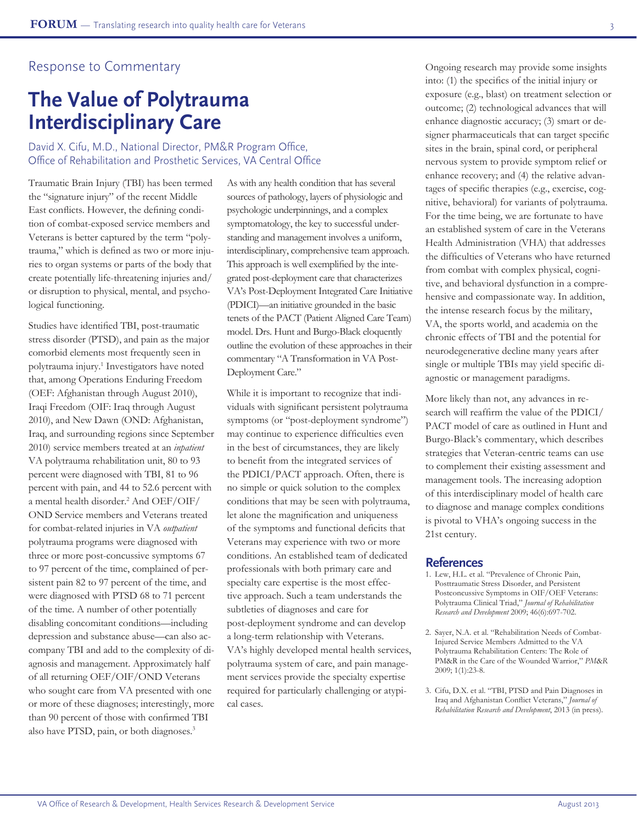### Response to Commentary

# **The Value of Polytrauma Interdisciplinary Care**

David X. Cifu, M.D., National Director, PM&R Program Office, Office of Rehabilitation and Prosthetic Services, VA Central Office

Traumatic Brain Injury (TBI) has been termed the "signature injury" of the recent Middle East conflicts. However, the defining condition of combat-exposed service members and Veterans is better captured by the term "polytrauma," which is defined as two or more injuries to organ systems or parts of the body that create potentially life-threatening injuries and/ or disruption to physical, mental, and psychological functioning.

Studies have identified TBI, post-traumatic stress disorder (PTSD), and pain as the major comorbid elements most frequently seen in polytrauma injury.<sup>1</sup> Investigators have noted that, among Operations Enduring Freedom (OEF: Afghanistan through August 2010), Iraqi Freedom (OIF: Iraq through August 2010), and New Dawn (OND: Afghanistan, Iraq, and surrounding regions since September 2010) service members treated at an *inpatient* VA polytrauma rehabilitation unit, 80 to 93 percent were diagnosed with TBI, 81 to 96 percent with pain, and 44 to 52.6 percent with a mental health disorder.2 And OEF/OIF/ OND Service members and Veterans treated for combat-related injuries in VA *outpatient* polytrauma programs were diagnosed with three or more post-concussive symptoms 67 to 97 percent of the time, complained of persistent pain 82 to 97 percent of the time, and were diagnosed with PTSD 68 to 71 percent of the time. A number of other potentially disabling concomitant conditions—including depression and substance abuse—can also accompany TBI and add to the complexity of diagnosis and management. Approximately half of all returning OEF/OIF/OND Veterans who sought care from VA presented with one or more of these diagnoses; interestingly, more than 90 percent of those with confirmed TBI also have PTSD, pain, or both diagnoses.<sup>3</sup>

As with any health condition that has several sources of pathology, layers of physiologic and psychologic underpinnings, and a complex symptomatology, the key to successful understanding and management involves a uniform, interdisciplinary, comprehensive team approach. This approach is well exemplified by the integrated post-deployment care that characterizes VA's Post-Deployment Integrated Care Initiative (PDICI)—an initiative grounded in the basic tenets of the PACT (Patient Aligned Care Team) model. Drs. Hunt and Burgo-Black eloquently outline the evolution of these approaches in their commentary "A Transformation in VA Post-Deployment Care."

While it is important to recognize that individuals with significant persistent polytrauma symptoms (or "post-deployment syndrome") may continue to experience difficulties even in the best of circumstances, they are likely to benefit from the integrated services of the PDICI/PACT approach. Often, there is no simple or quick solution to the complex conditions that may be seen with polytrauma, let alone the magnification and uniqueness of the symptoms and functional deficits that Veterans may experience with two or more conditions. An established team of dedicated professionals with both primary care and specialty care expertise is the most effective approach. Such a team understands the subtleties of diagnoses and care for post-deployment syndrome and can develop a long-term relationship with Veterans. VA's highly developed mental health services, polytrauma system of care, and pain management services provide the specialty expertise required for particularly challenging or atypical cases.

Ongoing research may provide some insights into: (1) the specifics of the initial injury or exposure (e.g., blast) on treatment selection or outcome; (2) technological advances that will enhance diagnostic accuracy; (3) smart or designer pharmaceuticals that can target specific sites in the brain, spinal cord, or peripheral nervous system to provide symptom relief or enhance recovery; and (4) the relative advantages of specific therapies (e.g., exercise, cognitive, behavioral) for variants of polytrauma. For the time being, we are fortunate to have an established system of care in the Veterans Health Administration (VHA) that addresses the difficulties of Veterans who have returned from combat with complex physical, cognitive, and behavioral dysfunction in a comprehensive and compassionate way. In addition, the intense research focus by the military, VA, the sports world, and academia on the chronic effects of TBI and the potential for neurodegenerative decline many years after single or multiple TBIs may yield specific diagnostic or management paradigms.

More likely than not, any advances in research will reaffirm the value of the PDICI/ PACT model of care as outlined in Hunt and Burgo-Black's commentary, which describes strategies that Veteran-centric teams can use to complement their existing assessment and management tools. The increasing adoption of this interdisciplinary model of health care to diagnose and manage complex conditions is pivotal to VHA's ongoing success in the 21st century.

- 1. Lew, H.L. et al. "Prevalence of Chronic Pain, Posttraumatic Stress Disorder, and Persistent Postconcussive Symptoms in OIF/OEF Veterans: Polytrauma Clinical Triad," *Journal of Rehabilitation Research and Development* 2009; 46(6):697-702.
- 2. Sayer, N.A. et al. "Rehabilitation Needs of Combat-Injured Service Members Admitted to the VA Polytrauma Rehabilitation Centers: The Role of PM&R in the Care of the Wounded Warrior," *PM*&*R* 2009; 1(1):23-8.
- 3. Cifu, D.X. et al. "TBI, PTSD and Pain Diagnoses in Iraq and Afghanistan Conflict Veterans," *Journal of Rehabilitation Research and Development*, 2013 (in press).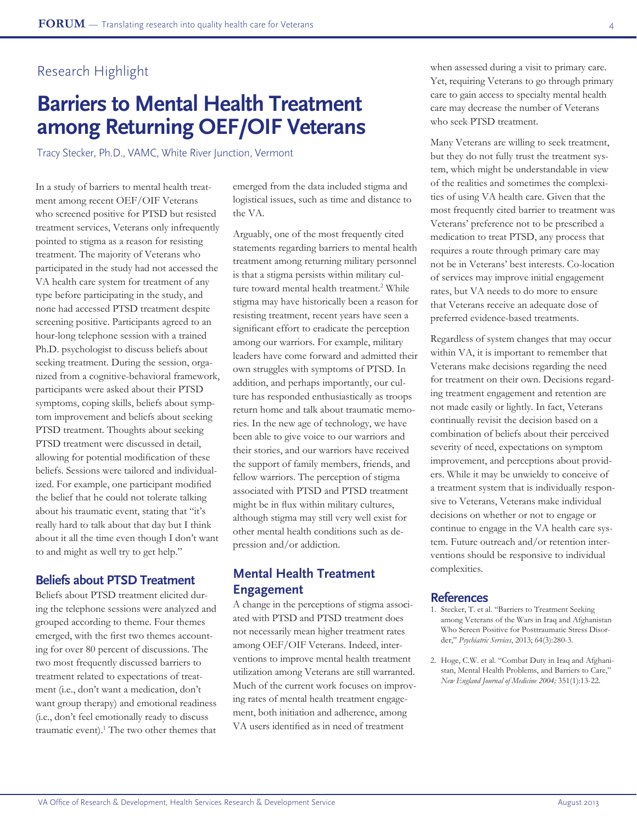## Research Highlight

# **Barriers to Mental Health Treatment among Returning OEF/OIF Veterans**

Tracy Stecker, Ph.D., VAMC, White River Junction, Vermont

In a study of barriers to mental health treatment among recent OEF/OIF Veterans who screened positive for PTSD but resisted treatment services, Veterans only infrequently pointed to stigma as a reason for resisting treatment. The majority of Veterans who participated in the study had not accessed the VA health care system for treatment of any type before participating in the study, and none had accessed PTSD treatment despite screening positive. Participants agreed to an hour-long telephone session with a trained Ph.D. psychologist to discuss beliefs about seeking treatment. During the session, organized from a cognitive-behavioral framework, participants were asked about their PTSD symptoms, coping skills, beliefs about symptom improvement and beliefs about seeking PTSD treatment. Thoughts about seeking PTSD treatment were discussed in detail, allowing for potential modification of these beliefs. Sessions were tailored and individualized. For example, one participant modified the belief that he could not tolerate talking about his traumatic event, stating that "it's really hard to talk about that day but I think about it all the time even though I don't want to and might as well try to get help."

### **Beliefs about PTSD Treatment**

Beliefs about PTSD treatment elicited during the telephone sessions were analyzed and grouped according to theme. Four themes emerged, with the first two themes accounting for over 80 percent of discussions. The two most frequently discussed barriers to treatment related to expectations of treatment (i.e., don't want a medication, don't want group therapy) and emotional readiness (i.e., don't feel emotionally ready to discuss traumatic event).<sup>1</sup> The two other themes that

emerged from the data included stigma and logistical issues, such as time and distance to the VA.

Arguably, one of the most frequently cited statements regarding barriers to mental health treatment among returning military personnel is that a stigma persists within military culture toward mental health treatment.<sup>2</sup> While stigma may have historically been a reason for resisting treatment, recent years have seen a significant effort to eradicate the perception among our warriors. For example, military leaders have come forward and admitted their own struggles with symptoms of PTSD. In addition, and perhaps importantly, our culture has responded enthusiastically as troops return home and talk about traumatic memories. In the new age of technology, we have been able to give voice to our warriors and their stories, and our warriors have received the support of family members, friends, and fellow warriors. The perception of stigma associated with PTSD and PTSD treatment might be in flux within military cultures, although stigma may still very well exist for other mental health conditions such as depression and/or addiction.

### **Mental Health Treatment Engagement**

A change in the perceptions of stigma associated with PTSD and PTSD treatment does not necessarily mean higher treatment rates among OEF/OIF Veterans. Indeed, interventions to improve mental health treatment utilization among Veterans are still warranted. Much of the current work focuses on improving rates of mental health treatment engagement, both initiation and adherence, among VA users identified as in need of treatment

when assessed during a visit to primary care. Yet, requiring Veterans to go through primary care to gain access to specialty mental health care may decrease the number of Veterans who seek PTSD treatment.

Many Veterans are willing to seek treatment, but they do not fully trust the treatment system, which might be understandable in view of the realities and sometimes the complexities of using VA health care. Given that the most frequently cited barrier to treatment was Veterans' preference not to be prescribed a medication to treat PTSD, any process that requires a route through primary care may not be in Veterans' best interests. Co-location of services may improve initial engagement rates, but VA needs to do more to ensure that Veterans receive an adequate dose of preferred evidence-based treatments.

Regardless of system changes that may occur within VA, it is important to remember that Veterans make decisions regarding the need for treatment on their own. Decisions regarding treatment engagement and retention are not made easily or lightly. In fact, Veterans continually revisit the decision based on a combination of beliefs about their perceived severity of need, expectations on symptom improvement, and perceptions about providers. While it may be unwieldy to conceive of a treatment system that is individually responsive to Veterans, Veterans make individual decisions on whether or not to engage or continue to engage in the VA health care system. Future outreach and/or retention interventions should be responsive to individual complexities.

- 1. Stecker, T. et al. "Barriers to Treatment Seeking among Veterans of the Wars in Iraq and Afghanistan Who Screen Positive for Posttraumatic Stress Disorder," *Psychiatric Services*, 2013; 64(3):280-3.
- 2. Hoge, C.W. et al. "Combat Duty in Iraq and Afghanistan, Mental Health Problems, and Barriers to Care," *New England Journal of Medicine 2004;* 351(1):13-22.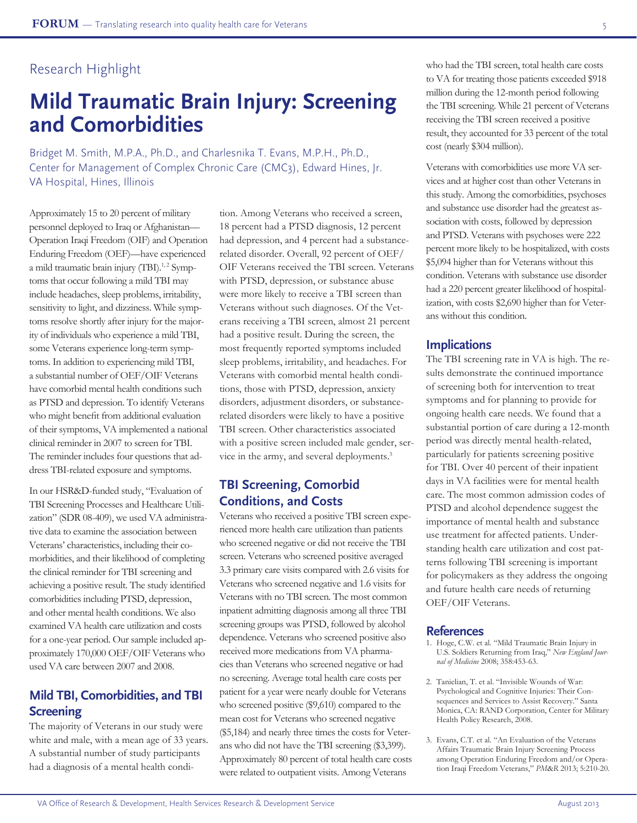# Research Highlight

# **Mild Traumatic Brain Injury: Screening and Comorbidities**

Bridget M. Smith, M.P.A., Ph.D., and Charlesnika T. Evans, M.P.H., Ph.D., Center for Management of Complex Chronic Care (CMC3), Edward Hines, Jr. VA Hospital, Hines, Illinois

Approximately 15 to 20 percent of military personnel deployed to Iraq or Afghanistan— Operation Iraqi Freedom (OIF) and Operation Enduring Freedom (OEF)—have experienced a mild traumatic brain injury (TBI).<sup>1,2</sup> Symptoms that occur following a mild TBI may include headaches, sleep problems, irritability, sensitivity to light, and dizziness. While symptoms resolve shortly after injury for the majority of individuals who experience a mild TBI, some Veterans experience long-term symptoms. In addition to experiencing mild TBI, a substantial number of OEF/OIF Veterans have comorbid mental health conditions such as PTSD and depression. To identify Veterans who might benefit from additional evaluation of their symptoms, VA implemented a national clinical reminder in 2007 to screen for TBI. The reminder includes four questions that address TBI-related exposure and symptoms.

In our HSR&D-funded study, "Evaluation of TBI Screening Processes and Healthcare Utilization" (SDR 08-409), we used VA administrative data to examine the association between Veterans' characteristics, including their comorbidities, and their likelihood of completing the clinical reminder for TBI screening and achieving a positive result. The study identified comorbidities including PTSD, depression, and other mental health conditions. We also examined VA health care utilization and costs for a one-year period. Our sample included approximately 170,000 OEF/OIF Veterans who used VA care between 2007 and 2008.

## **Mild TBI, Comorbidities, and TBI Screening**

The majority of Veterans in our study were white and male, with a mean age of 33 years. A substantial number of study participants had a diagnosis of a mental health condition. Among Veterans who received a screen, 18 percent had a PTSD diagnosis, 12 percent had depression, and 4 percent had a substancerelated disorder. Overall, 92 percent of OEF/ OIF Veterans received the TBI screen. Veterans with PTSD, depression, or substance abuse were more likely to receive a TBI screen than Veterans without such diagnoses. Of the Veterans receiving a TBI screen, almost 21 percent had a positive result. During the screen, the most frequently reported symptoms included sleep problems, irritability, and headaches. For Veterans with comorbid mental health conditions, those with PTSD, depression, anxiety disorders, adjustment disorders, or substancerelated disorders were likely to have a positive TBI screen. Other characteristics associated with a positive screen included male gender, service in the army, and several deployments.<sup>3</sup>

### **TBI Screening, Comorbid Conditions, and Costs**

Veterans who received a positive TBI screen experienced more health care utilization than patients who screened negative or did not receive the TBI screen. Veterans who screened positive averaged 3.3 primary care visits compared with 2.6 visits for Veterans who screened negative and 1.6 visits for Veterans with no TBI screen. The most common inpatient admitting diagnosis among all three TBI screening groups was PTSD, followed by alcohol dependence. Veterans who screened positive also received more medications from VA pharmacies than Veterans who screened negative or had no screening. Average total health care costs per patient for a year were nearly double for Veterans who screened positive (\$9,610) compared to the mean cost for Veterans who screened negative (\$5,184) and nearly three times the costs for Veterans who did not have the TBI screening (\$3,399). Approximately 80 percent of total health care costs were related to outpatient visits. Among Veterans

who had the TBI screen, total health care costs to VA for treating those patients exceeded \$918 million during the 12-month period following the TBI screening. While 21 percent of Veterans receiving the TBI screen received a positive result, they accounted for 33 percent of the total cost (nearly \$304 million).

Veterans with comorbidities use more VA services and at higher cost than other Veterans in this study. Among the comorbidities, psychoses and substance use disorder had the greatest association with costs, followed by depression and PTSD. Veterans with psychoses were 222 percent more likely to be hospitalized, with costs \$5,094 higher than for Veterans without this condition. Veterans with substance use disorder had a 220 percent greater likelihood of hospitalization, with costs \$2,690 higher than for Veterans without this condition.

### **Implications**

The TBI screening rate in VA is high. The results demonstrate the continued importance of screening both for intervention to treat symptoms and for planning to provide for ongoing health care needs. We found that a substantial portion of care during a 12-month period was directly mental health-related, particularly for patients screening positive for TBI. Over 40 percent of their inpatient days in VA facilities were for mental health care. The most common admission codes of PTSD and alcohol dependence suggest the importance of mental health and substance use treatment for affected patients. Understanding health care utilization and cost patterns following TBI screening is important for policymakers as they address the ongoing and future health care needs of returning OEF/OIF Veterans.

- 1. Hoge, C.W. et al. "Mild Traumatic Brain Injury in U.S. Soldiers Returning from Iraq," *New England Journal of Medicine* 2008; 358:453-63.
- 2. Tanielian, T. et al. "Invisible Wounds of War: Psychological and Cognitive Injuries: Their Consequences and Services to Assist Recovery." Santa Monica, CA: RAND Corporation, Center for Military Health Policy Research, 2008.
- 3. Evans, C.T. et al. "An Evaluation of the Veterans Affairs Traumatic Brain Injury Screening Process among Operation Enduring Freedom and/or Operation Iraqi Freedom Veterans," *PM*&*R* 2013; 5:210-20.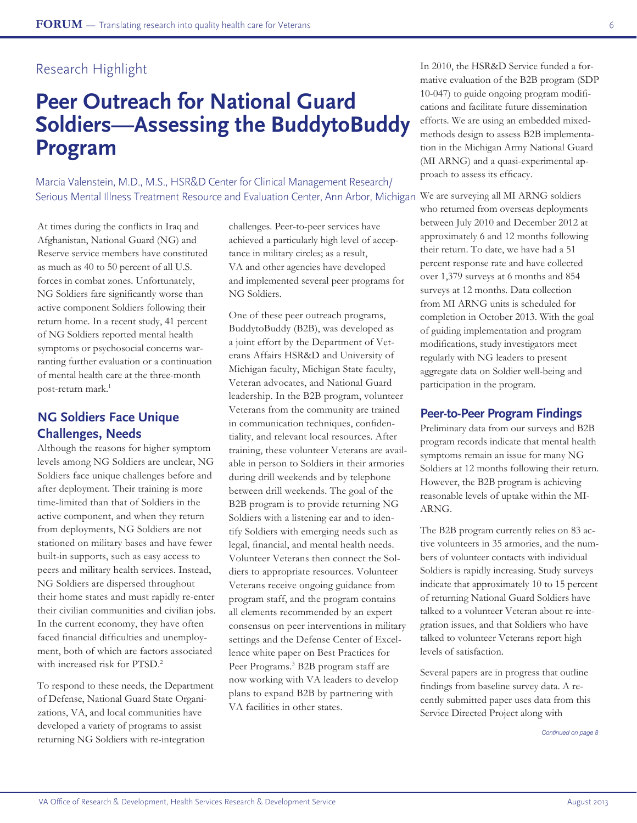## Research Highlight

# **Peer Outreach for National Guard Soldiers—Assessing the BuddytoBuddy Program**

Serious Mental Illness Treatment Resource and Evaluation Center, Ann Arbor, Michigan We are surveying all MI ARNG soldiers Marcia Valenstein, M.D., M.S., HSR&D Center for Clinical Management Research/

At times during the conflicts in Iraq and Afghanistan, National Guard (NG) and Reserve service members have constituted as much as 40 to 50 percent of all U.S. forces in combat zones. Unfortunately, NG Soldiers fare significantly worse than active component Soldiers following their return home. In a recent study, 41 percent of NG Soldiers reported mental health symptoms or psychosocial concerns warranting further evaluation or a continuation of mental health care at the three-month post-return mark.<sup>1</sup>

## **NG Soldiers Face Unique Challenges, Needs**

Although the reasons for higher symptom levels among NG Soldiers are unclear, NG Soldiers face unique challenges before and after deployment. Their training is more time-limited than that of Soldiers in the active component, and when they return from deployments, NG Soldiers are not stationed on military bases and have fewer built-in supports, such as easy access to peers and military health services. Instead, NG Soldiers are dispersed throughout their home states and must rapidly re-enter their civilian communities and civilian jobs. In the current economy, they have often faced financial difficulties and unemployment, both of which are factors associated with increased risk for PTSD.<sup>2</sup>

To respond to these needs, the Department of Defense, National Guard State Organizations, VA, and local communities have developed a variety of programs to assist returning NG Soldiers with re-integration

challenges. Peer-to-peer services have achieved a particularly high level of acceptance in military circles; as a result, VA and other agencies have developed and implemented several peer programs for NG Soldiers.

One of these peer outreach programs, BuddytoBuddy (B2B), was developed as a joint effort by the Department of Veterans Affairs HSR&D and University of Michigan faculty, Michigan State faculty, Veteran advocates, and National Guard leadership. In the B2B program, volunteer Veterans from the community are trained in communication techniques, confidentiality, and relevant local resources. After training, these volunteer Veterans are available in person to Soldiers in their armories during drill weekends and by telephone between drill weekends. The goal of the B2B program is to provide returning NG Soldiers with a listening ear and to identify Soldiers with emerging needs such as legal, financial, and mental health needs. Volunteer Veterans then connect the Soldiers to appropriate resources. Volunteer Veterans receive ongoing guidance from program staff, and the program contains all elements recommended by an expert consensus on peer interventions in military settings and the Defense Center of Excellence white paper on Best Practices for Peer Programs.<sup>3</sup> B2B program staff are now working with VA leaders to develop plans to expand B2B by partnering with VA facilities in other states.

In 2010, the HSR&D Service funded a formative evaluation of the B2B program (SDP 10-047) to guide ongoing program modifications and facilitate future dissemination efforts. We are using an embedded mixedmethods design to assess B2B implementation in the Michigan Army National Guard (MI ARNG) and a quasi-experimental approach to assess its efficacy.

who returned from overseas deployments between July 2010 and December 2012 at approximately 6 and 12 months following their return. To date, we have had a 51 percent response rate and have collected over 1,379 surveys at 6 months and 854 surveys at 12 months. Data collection from MI ARNG units is scheduled for completion in October 2013. With the goal of guiding implementation and program modifications, study investigators meet regularly with NG leaders to present aggregate data on Soldier well-being and participation in the program.

### **Peer-to-Peer Program Findings**

Preliminary data from our surveys and B2B program records indicate that mental health symptoms remain an issue for many NG Soldiers at 12 months following their return. However, the B2B program is achieving reasonable levels of uptake within the MI-ARNG.

The B2B program currently relies on 83 active volunteers in 35 armories, and the numbers of volunteer contacts with individual Soldiers is rapidly increasing. Study surveys indicate that approximately 10 to 15 percent of returning National Guard Soldiers have talked to a volunteer Veteran about re-integration issues, and that Soldiers who have talked to volunteer Veterans report high levels of satisfaction.

Several papers are in progress that outline findings from baseline survey data. A recently submitted paper uses data from this Service Directed Project along with

*Continued on page 8*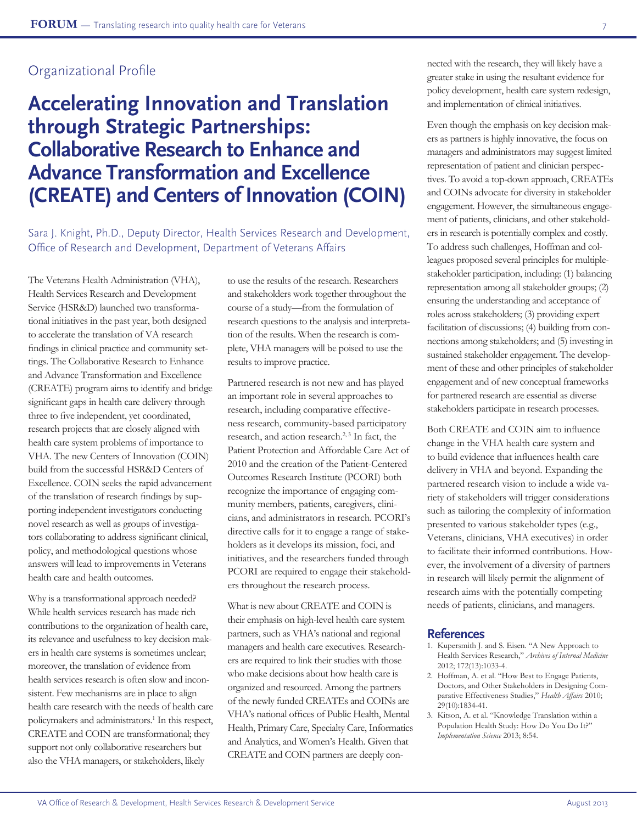## Organizational Profile

# **Accelerating Innovation and Translation through Strategic Partnerships: Collaborative Research to Enhance and Advance Transformation and Excellence (CREATE) and Centers of Innovation (COIN)**

Sara J. Knight, Ph.D., Deputy Director, Health Services Research and Development, Office of Research and Development, Department of Veterans Affairs

The Veterans Health Administration (VHA), Health Services Research and Development Service (HSR&D) launched two transformational initiatives in the past year, both designed to accelerate the translation of VA research findings in clinical practice and community settings. The Collaborative Research to Enhance and Advance Transformation and Excellence (CREATE) program aims to identify and bridge significant gaps in health care delivery through three to five independent, yet coordinated, research projects that are closely aligned with health care system problems of importance to VHA. The new Centers of Innovation (COIN) build from the successful HSR&D Centers of Excellence. COIN seeks the rapid advancement of the translation of research findings by supporting independent investigators conducting novel research as well as groups of investigators collaborating to address significant clinical, policy, and methodological questions whose answers will lead to improvements in Veterans health care and health outcomes.

Why is a transformational approach needed? While health services research has made rich contributions to the organization of health care, its relevance and usefulness to key decision makers in health care systems is sometimes unclear; moreover, the translation of evidence from health services research is often slow and inconsistent. Few mechanisms are in place to align health care research with the needs of health care policymakers and administrators.<sup>1</sup> In this respect, CREATE and COIN are transformational; they support not only collaborative researchers but also the VHA managers, or stakeholders, likely

to use the results of the research. Researchers and stakeholders work together throughout the course of a study—from the formulation of research questions to the analysis and interpretation of the results. When the research is complete, VHA managers will be poised to use the results to improve practice.

Partnered research is not new and has played an important role in several approaches to research, including comparative effectiveness research, community-based participatory research, and action research.<sup>2, 3</sup> In fact, the Patient Protection and Affordable Care Act of 2010 and the creation of the Patient-Centered Outcomes Research Institute (PCORI) both recognize the importance of engaging community members, patients, caregivers, clinicians, and administrators in research. PCORI's directive calls for it to engage a range of stakeholders as it develops its mission, foci, and initiatives, and the researchers funded through PCORI are required to engage their stakeholders throughout the research process.

What is new about CREATE and COIN is their emphasis on high-level health care system partners, such as VHA's national and regional managers and health care executives. Researchers are required to link their studies with those who make decisions about how health care is organized and resourced. Among the partners of the newly funded CREATEs and COINs are VHA's national offices of Public Health, Mental Health, Primary Care, Specialty Care, Informatics and Analytics, and Women's Health. Given that CREATE and COIN partners are deeply connected with the research, they will likely have a greater stake in using the resultant evidence for policy development, health care system redesign, and implementation of clinical initiatives.

Even though the emphasis on key decision makers as partners is highly innovative, the focus on managers and administrators may suggest limited representation of patient and clinician perspectives. To avoid a top-down approach, CREATEs and COINs advocate for diversity in stakeholder engagement. However, the simultaneous engagement of patients, clinicians, and other stakeholders in research is potentially complex and costly. To address such challenges, Hoffman and colleagues proposed several principles for multiplestakeholder participation, including: (1) balancing representation among all stakeholder groups; (2) ensuring the understanding and acceptance of roles across stakeholders; (3) providing expert facilitation of discussions; (4) building from connections among stakeholders; and (5) investing in sustained stakeholder engagement. The development of these and other principles of stakeholder engagement and of new conceptual frameworks for partnered research are essential as diverse stakeholders participate in research processes.

Both CREATE and COIN aim to influence change in the VHA health care system and to build evidence that influences health care delivery in VHA and beyond. Expanding the partnered research vision to include a wide variety of stakeholders will trigger considerations such as tailoring the complexity of information presented to various stakeholder types (e.g., Veterans, clinicians, VHA executives) in order to facilitate their informed contributions. However, the involvement of a diversity of partners in research will likely permit the alignment of research aims with the potentially competing needs of patients, clinicians, and managers.

- 1. Kupersmith J. and S. Eisen. "A New Approach to Health Services Research," *Archives of Internal Medicine* 2012; 172(13):1033-4.
- 2. Hoffman, A. et al. "How Best to Engage Patients, Doctors, and Other Stakeholders in Designing Comparative Effectiveness Studies," *Health Affairs* 2010; 29(10):1834-41.
- 3. Kitson, A. et al. "Knowledge Translation within a Population Health Study: How Do You Do It?" *Implementation Science* 2013; 8:54.